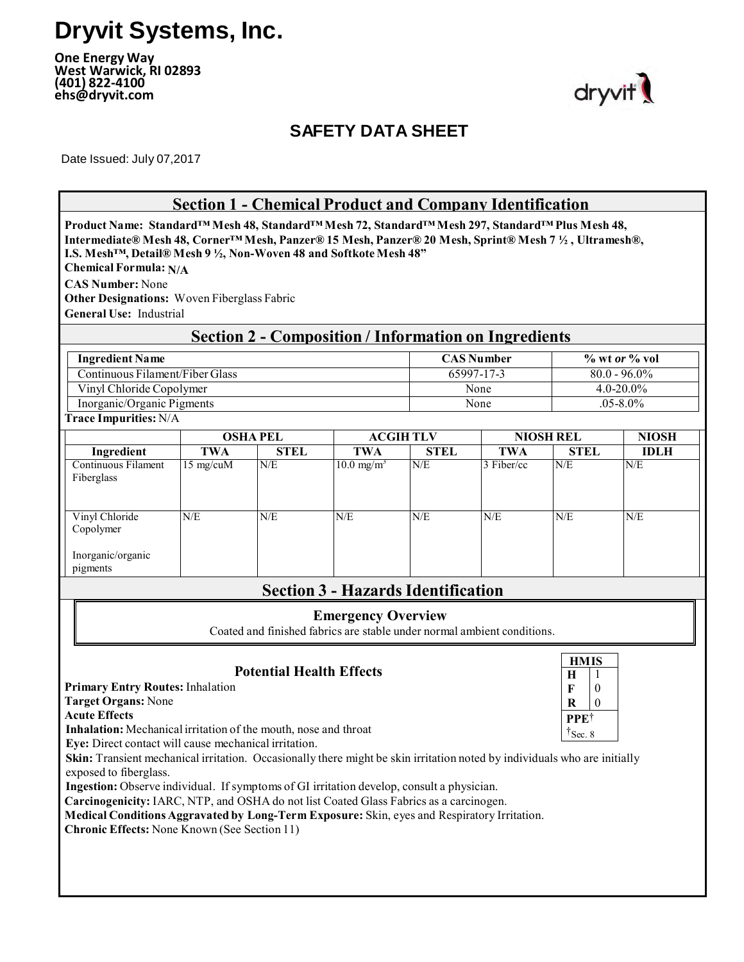# **Dryvit Systems, Inc.**

**One Energy Way West Warwick, RI 02893 (401) 822-4100 [ehs@dryvit.com](mailto:ehs@dryvit.com)**



# **SAFETY DATA SHEET**

Date Issued: July 07,2017

#### **Section 1 - Chemical Product and Company Identification**

**Product Name: Standard™ Mesh 48, Standard™Mesh 72, Standard™Mesh 297, Standard™ Plus Mesh 48, Intermediate® Mesh 48, Corner™ Mesh, Panzer®15 Mesh, Panzer®20 Mesh, Sprint® Mesh 7 ½ , Ultramesh®, I.S. Mesh™, Detail® Mesh 9 ½, Non-Woven 48 and Softkote Mesh 48"**

**Chemical Formula: N/A** 

**CAS Number:** None

**Other Designations:** Woven Fiberglass Fabric

**General Use:** Industrial

# **Section 2 - Composition / Information on Ingredients**

| <b>Ingredient Name</b>          | <b>CAS Number</b> | $\%$ wt <i>or</i> $\%$ vol |
|---------------------------------|-------------------|----------------------------|
| Continuous Filament/Fiber Glass | 65997-17-3        | $800 - 960\%$              |
| Vinyl Chloride Copolymer        | None              | $4.0 - 20.0\%$             |
| Inorganic/Organic Pigments      | None              | $0.5 - 8.0\%$              |

**Trace Impurities:** N/A

|                                   |            | <b>OSHA PEL</b> | <b>ACGIHTLV</b>          |             | <b>NIOSH REL</b> |             | <b>NIOSH</b> |
|-----------------------------------|------------|-----------------|--------------------------|-------------|------------------|-------------|--------------|
| Ingredient                        | <b>TWA</b> | <b>STEL</b>     | <b>TWA</b>               | <b>STEL</b> | <b>TWA</b>       | <b>STEL</b> | <b>IDLH</b>  |
| Continuous Filament<br>Fiberglass | 15 mg/cuM  | N/E             | $10.0$ mg/m <sup>3</sup> | N/E         | 3 Fiber/cc       | N/E         | N/E          |
| Vinyl Chloride<br>Copolymer       | N/E        | N/E             | N/E                      | N/E         | N/E              | N/E         | N/E          |
| Inorganic/organic<br>pigments     |            |                 |                          |             |                  |             |              |

## **Section 3 - Hazards Identification**

#### **Emergency Overview**

Coated and finished fabrics are stable under normal ambient conditions.

#### **Potential Health Effects**

**Primary Entry Routes:** Inhalation

**Target Organs:** None

**Acute Effects**

**Inhalation:** Mechanical irritation of the mouth, nose and throat

**Eye:** Direct contact will cause mechanical irritation.

**Skin:** Transient mechanical irritation. Occasionally there might be skin irritation noted by individuals who are initially exposed to fiberglass.

**Ingestion:** Observe individual. If symptoms of GI irritation develop, consult a physician.

**Carcinogenicity:** IARC, NTP, and OSHA do not list Coated Glass Fabrics as a carcinogen.

**Medical Conditions Aggravated by Long-Term Exposure:** Skin, eyes and Respiratory Irritation.

**Chronic Effects:** None Known (See Section 11)

| HMIS                   |   |  |
|------------------------|---|--|
| н                      |   |  |
| F                      | 0 |  |
| R                      |   |  |
| <b>PPE<sup>†</sup></b> |   |  |
| $\dagger$ Sec. 8       |   |  |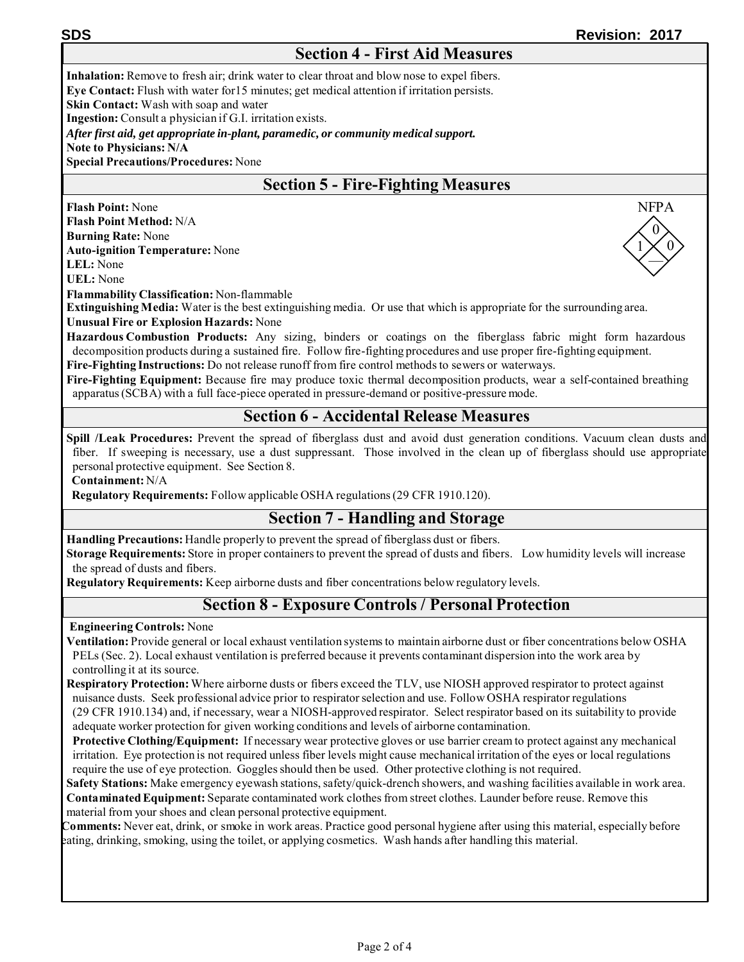#### **SDS Revision: 2017 Section 4 - First Aid Measures Inhalation:** Remove to fresh air; drink water to clear throat and blow nose to expel fibers. **Eye Contact:** Flush with water for15 minutes; get medical attention if irritation persists. **Skin Contact:** Wash with soap and water **Ingestion:** Consult a physician if G.I. irritation exists. *After first aid, get appropriate in-plant, paramedic, or community medicalsupport.* **Note to Physicians: N/A Special Precautions/Procedures:** None **Section 5 - Fire-Fighting Measures Flash Point:** None **Flash Point Method:** N/A **Burning Rate:** None **Auto-ignition Temperature:** None **LEL:** None **UEL:** None **Flammability Classification:** Non-flammable NFPA 0  $1 \times 0$ — **Extinguishing Media:** Water is the best extinguishing media. Or use that which is appropriate for the surrounding area. **Unusual Fire or Explosion Hazards:** None **Hazardous Combustion Products:** Any sizing, binders or coatings on the fiberglass fabric might form hazardous decomposition products during a sustained fire. Follow fire-fighting procedures and use proper fire-fighting equipment. **Fire-Fighting Instructions:** Do not release runoff from fire control methods to sewers or waterways. **Fire-Fighting Equipment:** Because fire may produce toxic thermal decomposition products, wear a self-contained breathing apparatus(SCBA) with a full face-piece operated in pressure-demand or positive-pressure mode. **Section 6 - Accidental Release Measures Spill /Leak Procedures:** Prevent the spread of fiberglass dust and avoid dust generation conditions. Vacuum clean dusts and fiber. If sweeping is necessary, use a dust suppressant. Those involved in the clean up of fiberglass should use appropriate personal protective equipment. See Section 8. **Containment:** N/A **Regulatory Requirements:** Follow applicable OSHA regulations(29 CFR 1910.120). **Section 7 - Handling and Storage Handling Precautions:** Handle properly to prevent the spread of fiberglass dust or fibers. **Storage Requirements:** Store in proper containersto prevent the spread of dusts and fibers. Low humidity levels will increase the spread of dusts and fibers. **Regulatory Requirements:** Keep airborne dusts and fiber concentrations below regulatory levels. **Section 8 - Exposure Controls / Personal Protection Engineering Controls:** None **Ventilation:** Provide general or local exhaust ventilation systems to maintain airborne dust or fiber concentrations below OSHA PELs (Sec. 2). Local exhaust ventilation is preferred because it prevents contaminant dispersion into the work area by controlling it at its source. **Respiratory Protection:** Where airborne dusts or fibers exceed the TLV, use NIOSH approved respirator to protect against nuisance dusts. Seek professional advice prior to respirator selection and use. Follow OSHA respirator regulations (29 CFR 1910.134) and, if necessary, wear a NIOSH-approved respirator. Select respirator based on its suitability to provide adequate worker protection for given working conditions and levels of airborne contamination. **Protective Clothing/Equipment:** If necessary wear protective gloves or use barrier cream to protect against any mechanical irritation. Eye protection is not required unless fiber levels might cause mechanical irritation of the eyes or local regulations require the use of eye protection. Goggles should then be used. Other protective clothing is not required. **Safety Stations:** Make emergency eyewash stations, safety/quick-drench showers, and washing facilities available in work area.

**Contaminated Equipment:** Separate contaminated work clothes from street clothes. Launder before reuse. Remove this material from your shoes and clean personal protective equipment.

**Comments:** Never eat, drink, or smoke in work areas. Practice good personal hygiene after using this material, especially before eating, drinking, smoking, using the toilet, or applying cosmetics. Wash hands after handling this material.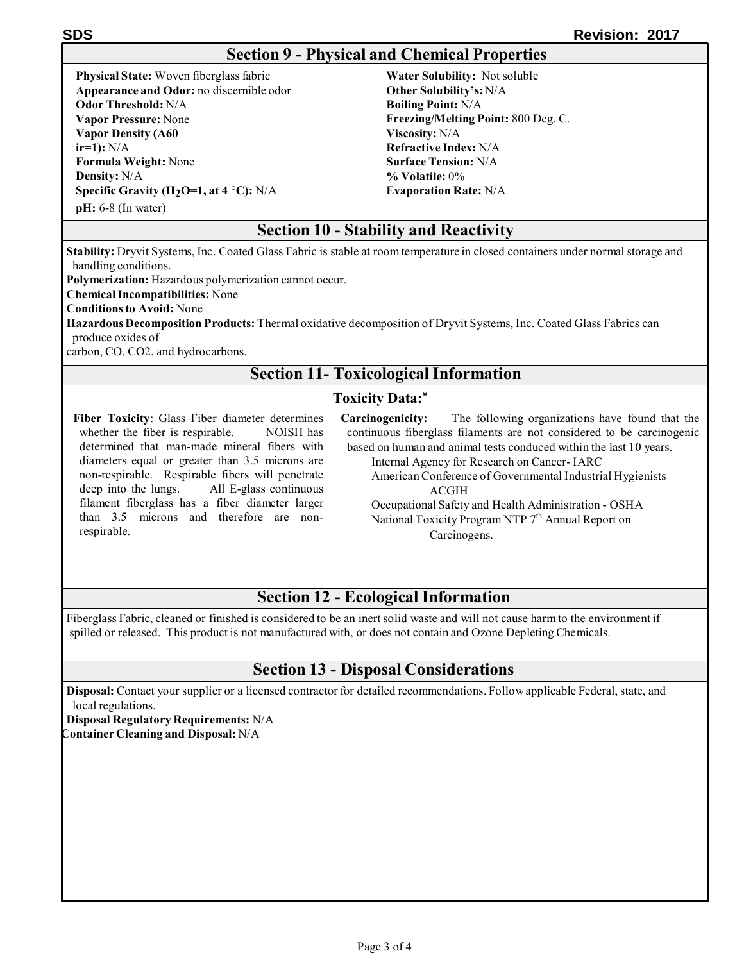# **Section 9 - Physical and Chemical Properties**

**Physical State:** Woven fiberglass fabric **Appearance and Odor:** no discernible odor **Odor Threshold:** N/A **Vapor Pressure:** None **Vapor Density (A60 ir=1):** N/A **Formula Weight:** None **Density:** N/A **Specific Gravity (H2O=1, at 4** °**C):** N/A **pH:** 6-8 (In water)

**Water Solubility:** Not soluble **Other Solubility's:** N/A **Boiling Point:** N/A **Freezing/Melting Point:** 800 Deg. C. **Viscosity:** N/A **Refractive Index:** N/A **Surface Tension:** N/A **% Volatile:** 0% **Evaporation Rate:** N/A

# **Section 10 - Stability and Reactivity**

**Stability:** Dryvit Systems, Inc. Coated Glass Fabric is stable at room temperature in closed containers under normal storage and handling conditions.

**Polymerization:** Hazardous polymerization cannot occur.

**Chemical Incompatibilities:** None

**Conditionsto Avoid:** None

**Hazardous Decomposition Products:** Thermal oxidative decomposition of Dryvit Systems, Inc. Coated Glass Fabrics can produce oxides of

carbon, CO, CO2, and hydrocarbons.

## **Section 11- Toxicological Information**

#### **Toxicity Data: \***

**Fiber Toxicity**: Glass Fiber diameter determines whether the fiber is respirable. NOISH has determined that man-made mineral fibers with diameters equal or greater than 3.5 microns are non-respirable. Respirable fibers will penetrate deep into the lungs. All E-glass continuous filament fiberglass has a fiber diameter larger than 3.5 microns and therefore are nonrespirable.

**Carcinogenicity:** The following organizations have found that the continuous fiberglass filaments are not considered to be carcinogenic based on human and animal tests conduced within the last 10 years.

Internal Agency for Research on Cancer- IARC

American Conference of Governmental Industrial Hygienists – ACGIH

Occupational Safety and Health Administration - OSHA National Toxicity Program NTP 7<sup>th</sup> Annual Report on Carcinogens.

# **Section 12 - Ecological Information**

Fiberglass Fabric, cleaned or finished is considered to be an inert solid waste and will not cause harm to the environment if spilled or released. This product is not manufactured with, or does not contain and Ozone Depleting Chemicals.

# **Section 13 - Disposal Considerations**

**Disposal:** Contact your supplier or a licensed contractor for detailed recommendations. Followapplicable Federal, state, and local regulations.

**Disposal Regulatory Requirements:** N/A **Container Cleaning and Disposal:** N/A